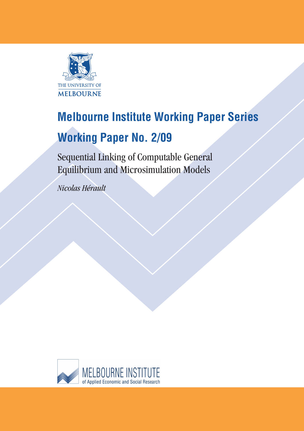

# **Melbourne Institute Working Paper Series**

# **Working Paper No. 2/09**

Sequential Linking of Computable General Equilibrium and Microsimulation Models

*Nicolas Hérault*

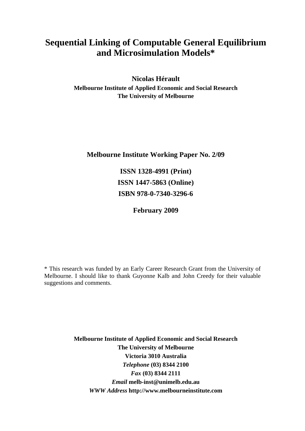# **Sequential Linking of Computable General Equilibrium and Microsimulation Models\***

**Nicolas Hérault Melbourne Institute of Applied Economic and Social Research The University of Melbourne** 

**Melbourne Institute Working Paper No. 2/09** 

**ISSN 1328-4991 (Print) ISSN 1447-5863 (Online) ISBN 978-0-7340-3296-6** 

**February 2009** 

\* This research was funded by an Early Career Research Grant from the University of Melbourne. I should like to thank Guyonne Kalb and John Creedy for their valuable suggestions and comments.

> **Melbourne Institute of Applied Economic and Social Research The University of Melbourne Victoria 3010 Australia**  *Telephone* **(03) 8344 2100**  *Fax* **(03) 8344 2111**  *Email* **[melb-inst@unimelb.edu.au](mailto:melb-inst@unimelb.edu.au)**  *WWW Address* **[http://www.melbourneinstitute.com](http://www.melbourneinstitute.com/)**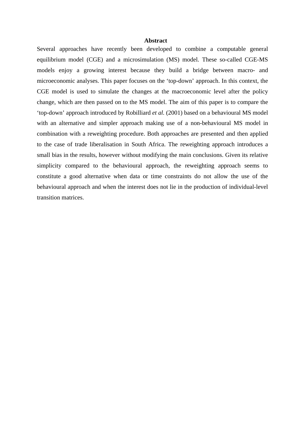#### **Abstract**

Several approaches have recently been developed to combine a computable general equilibrium model (CGE) and a microsimulation (MS) model. These so-called CGE-MS models enjoy a growing interest because they build a bridge between macro- and microeconomic analyses. This paper focuses on the 'top-down' approach. In this context, the CGE model is used to simulate the changes at the macroeconomic level after the policy change, which are then passed on to the MS model. The aim of this paper is to compare the 'top-down' approach introduced by Robilliard *et al.* (2001) based on a behavioural MS model with an alternative and simpler approach making use of a non-behavioural MS model in combination with a reweighting procedure. Both approaches are presented and then applied to the case of trade liberalisation in South Africa. The reweighting approach introduces a small bias in the results, however without modifying the main conclusions. Given its relative simplicity compared to the behavioural approach, the reweighting approach seems to constitute a good alternative when data or time constraints do not allow the use of the behavioural approach and when the interest does not lie in the production of individual-level transition matrices.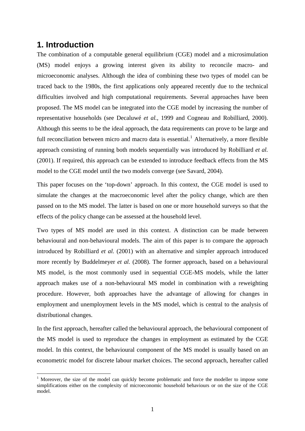# **1. Introduction**

1

The combination of a computable general equilibrium (CGE) model and a microsimulation (MS) model enjoys a growing interest given its ability to reconcile macro- and microeconomic analyses. Although the idea of combining these two types of model can be traced back to the 1980s, the first applications only appeared recently due to the technical difficulties involved and high computational requirements. Several approaches have been proposed. The MS model can be integrated into the CGE model by increasing the number of representative households (see Decaluwé *et al.*, 1999 and Cogneau and Robilliard, 2000). Although this seems to be the ideal approach, the data requirements can prove to be large and full reconciliation between micro and macro data is essential.<sup>[1](#page-3-0)</sup> Alternatively, a more flexible approach consisting of running both models sequentially was introduced by Robilliard *et al.* (2001). If required, this approach can be extended to introduce feedback effects from the MS model to the CGE model until the two models converge (see Savard, 2004).

This paper focuses on the 'top-down' approach. In this context, the CGE model is used to simulate the changes at the macroeconomic level after the policy change, which are then passed on to the MS model. The latter is based on one or more household surveys so that the effects of the policy change can be assessed at the household level.

Two types of MS model are used in this context. A distinction can be made between behavioural and non-behavioural models. The aim of this paper is to compare the approach introduced by Robilliard *et al.* (2001) with an alternative and simpler approach introduced more recently by Buddelmeyer *et al.* (2008). The former approach, based on a behavioural MS model, is the most commonly used in sequential CGE-MS models, while the latter approach makes use of a non-behavioural MS model in combination with a reweighting procedure. However, both approaches have the advantage of allowing for changes in employment and unemployment levels in the MS model, which is central to the analysis of distributional changes.

In the first approach, hereafter called the behavioural approach, the behavioural component of the MS model is used to reproduce the changes in employment as estimated by the CGE model. In this context, the behavioural component of the MS model is usually based on an econometric model for discrete labour market choices. The second approach, hereafter called

<span id="page-3-0"></span><sup>&</sup>lt;sup>1</sup> Moreover, the size of the model can quickly become problematic and force the modeller to impose some simplifications either on the complexity of microeconomic household behaviours or on the size of the CGE model.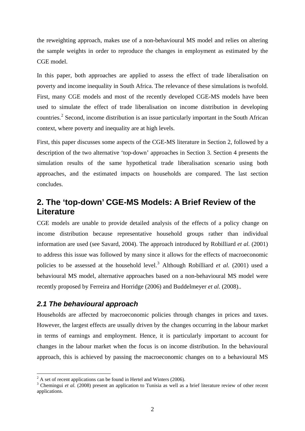the reweighting approach, makes use of a non-behavioural MS model and relies on altering the sample weights in order to reproduce the changes in employment as estimated by the CGE model.

In this paper, both approaches are applied to assess the effect of trade liberalisation on poverty and income inequality in South Africa. The relevance of these simulations is twofold. First, many CGE models and most of the recently developed CGE-MS models have been used to simulate the effect of trade liberalisation on income distribution in developing countries.<sup>[2](#page-4-0)</sup> Second, income distribution is an issue particularly important in the South African context, where poverty and inequality are at high levels.

First, this paper discusses some aspects of the CGE-MS literature in Section 2, followed by a description of the two alternative 'top-down' approaches in Section 3. Section 4 presents the simulation results of the same hypothetical trade liberalisation scenario using both approaches, and the estimated impacts on households are compared. The last section concludes.

# **2. The 'top-down' CGE-MS Models: A Brief Review of the Literature**

CGE models are unable to provide detailed analysis of the effects of a policy change on income distribution because representative household groups rather than individual information are used (see Savard, 2004). The approach introduced by Robilliard *et al.* (2001) to address this issue was followed by many since it allows for the effects of macroeconomic policies to be assessed at the household level.<sup>[3](#page-4-1)</sup> Although Robilliard *et al.* (2001) used a behavioural MS model, alternative approaches based on a non-behavioural MS model were recently proposed by Ferreira and Horridge (2006) and Buddelmeyer *et al.* (2008)..

### *2.1 The behavioural approach*

1

Households are affected by macroeconomic policies through changes in prices and taxes. However, the largest effects are usually driven by the changes occurring in the labour market in terms of earnings and employment. Hence, it is particularly important to account for changes in the labour market when the focus is on income distribution. In the behavioural approach, this is achieved by passing the macroeconomic changes on to a behavioural MS

<sup>&</sup>lt;sup>2</sup> A set of recent applications can be found in Hertel and Winters (2006).

<span id="page-4-1"></span><span id="page-4-0"></span><sup>&</sup>lt;sup>3</sup> Chemingui *et al.* (2008) present an application to Tunisia as well as a brief literature review of other recent applications.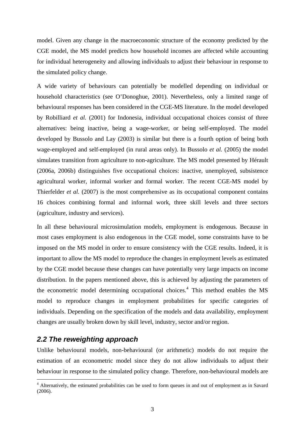model. Given any change in the macroeconomic structure of the economy predicted by the CGE model, the MS model predicts how household incomes are affected while accounting for individual heterogeneity and allowing individuals to adjust their behaviour in response to the simulated policy change.

A wide variety of behaviours can potentially be modelled depending on individual or household characteristics (see O'Donoghue, 2001). Nevertheless, only a limited range of behavioural responses has been considered in the CGE-MS literature. In the model developed by Robilliard *et al.* (2001) for Indonesia, individual occupational choices consist of three alternatives: being inactive, being a wage-worker, or being self-employed. The model developed by Bussolo and Lay (2003) is similar but there is a fourth option of being both wage-employed and self-employed (in rural areas only). In Bussolo *et al.* (2005) the model simulates transition from agriculture to non-agriculture. The MS model presented by Hérault (2006a, 2006b) distinguishes five occupational choices: inactive, unemployed, subsistence agricultural worker, informal worker and formal worker. The recent CGE-MS model by Thierfelder *et al.* (2007) is the most comprehensive as its occupational component contains 16 choices combining formal and informal work, three skill levels and three sectors (agriculture, industry and services).

In all these behavioural microsimulation models, employment is endogenous. Because in most cases employment is also endogenous in the CGE model, some constraints have to be imposed on the MS model in order to ensure consistency with the CGE results. Indeed, it is important to allow the MS model to reproduce the changes in employment levels as estimated by the CGE model because these changes can have potentially very large impacts on income distribution. In the papers mentioned above, this is achieved by adjusting the parameters of the econometric model determining occupational choices.<sup>[4](#page-5-0)</sup> This method enables the MS model to reproduce changes in employment probabilities for specific categories of individuals. Depending on the specification of the models and data availability, employment changes are usually broken down by skill level, industry, sector and/or region.

#### *2.2 The reweighting approach*

1

Unlike behavioural models, non-behavioural (or arithmetic) models do not require the estimation of an econometric model since they do not allow individuals to adjust their behaviour in response to the simulated policy change. Therefore, non-behavioural models are

<span id="page-5-0"></span><sup>&</sup>lt;sup>4</sup> Alternatively, the estimated probabilities can be used to form queues in and out of employment as in Savard (2006).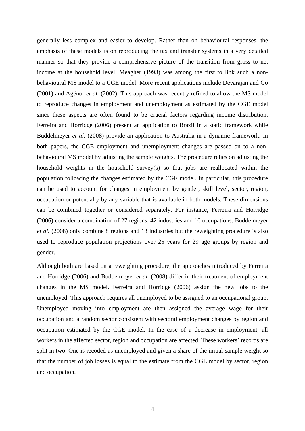generally less complex and easier to develop. Rather than on behavioural responses, the emphasis of these models is on reproducing the tax and transfer systems in a very detailed manner so that they provide a comprehensive picture of the transition from gross to net income at the household level. Meagher (1993) was among the first to link such a nonbehavioural MS model to a CGE model. More recent applications include Devarajan and Go (2001) and Agénor *et al.* (2002). This approach was recently refined to allow the MS model to reproduce changes in employment and unemployment as estimated by the CGE model since these aspects are often found to be crucial factors regarding income distribution. Ferreira and Horridge (2006) present an application to Brazil in a static framework while Buddelmeyer *et al.* (2008) provide an application to Australia in a dynamic framework. In both papers, the CGE employment and unemployment changes are passed on to a nonbehavioural MS model by adjusting the sample weights. The procedure relies on adjusting the household weights in the household survey(s) so that jobs are reallocated within the population following the changes estimated by the CGE model. In particular, this procedure can be used to account for changes in employment by gender, skill level, sector, region, occupation or potentially by any variable that is available in both models. These dimensions can be combined together or considered separately. For instance, Ferreira and Horridge (2006) consider a combination of 27 regions, 42 industries and 10 occupations. Buddelmeyer *et al.* (2008) only combine 8 regions and 13 industries but the reweighting procedure is also used to reproduce population projections over 25 years for 29 age groups by region and gender.

Although both are based on a reweighting procedure, the approaches introduced by Ferreira and Horridge (2006) and Buddelmeyer *et al.* (2008) differ in their treatment of employment changes in the MS model. Ferreira and Horridge (2006) assign the new jobs to the unemployed. This approach requires all unemployed to be assigned to an occupational group. Unemployed moving into employment are then assigned the average wage for their occupation and a random sector consistent with sectoral employment changes by region and occupation estimated by the CGE model. In the case of a decrease in employment, all workers in the affected sector, region and occupation are affected. These workers' records are split in two. One is recoded as unemployed and given a share of the initial sample weight so that the number of job losses is equal to the estimate from the CGE model by sector, region and occupation.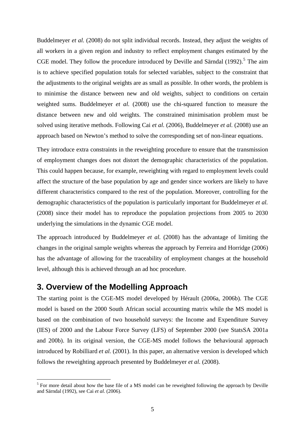Buddelmeyer *et al.* (2008) do not split individual records. Instead, they adjust the weights of all workers in a given region and industry to reflect employment changes estimated by the CGE model. They follow the procedure introduced by Deville and Särndal  $(1992)$ .<sup>[5](#page-7-0)</sup> The aim is to achieve specified population totals for selected variables, subject to the constraint that the adjustments to the original weights are as small as possible. In other words, the problem is to minimise the distance between new and old weights, subject to conditions on certain weighted sums. Buddelmeyer *et al.* (2008) use the chi-squared function to measure the distance between new and old weights. The constrained minimisation problem must be solved using iterative methods. Following Cai *et al.* (2006), Buddelmeyer *et al.* (2008) use an approach based on Newton's method to solve the corresponding set of non-linear equations.

They introduce extra constraints in the reweighting procedure to ensure that the transmission of employment changes does not distort the demographic characteristics of the population. This could happen because, for example, reweighting with regard to employment levels could affect the structure of the base population by age and gender since workers are likely to have different characteristics compared to the rest of the population. Moreover, controlling for the demographic characteristics of the population is particularly important for Buddelmeyer *et al.* (2008) since their model has to reproduce the population projections from 2005 to 2030 underlying the simulations in the dynamic CGE model.

The approach introduced by Buddelmeyer *et al.* (2008) has the advantage of limiting the changes in the original sample weights whereas the approach by Ferreira and Horridge (2006) has the advantage of allowing for the traceability of employment changes at the household level, although this is achieved through an ad hoc procedure.

# **3. Overview of the Modelling Approach**

1

The starting point is the CGE-MS model developed by Hérault (2006a, 2006b). The CGE model is based on the 2000 South African social accounting matrix while the MS model is based on the combination of two household surveys: the Income and Expenditure Survey (IES) of 2000 and the Labour Force Survey (LFS) of September 2000 (see StatsSA 2001a and 200b). In its original version, the CGE-MS model follows the behavioural approach introduced by Robilliard *et al.* (2001). In this paper, an alternative version is developed which follows the reweighting approach presented by Buddelmeyer *et al.* (2008).

<span id="page-7-0"></span><sup>&</sup>lt;sup>5</sup> For more detail about how the base file of a MS model can be reweighted following the approach by Deville and Särndal (1992), see Cai *et al.* (2006).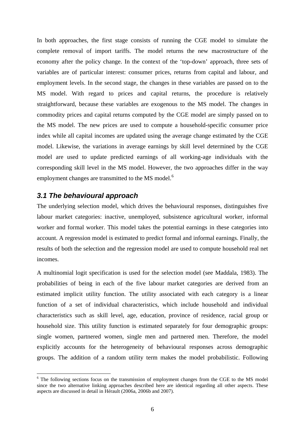In both approaches, the first stage consists of running the CGE model to simulate the complete removal of import tariffs. The model returns the new macrostructure of the economy after the policy change. In the context of the 'top-down' approach, three sets of variables are of particular interest: consumer prices, returns from capital and labour, and employment levels. In the second stage, the changes in these variables are passed on to the MS model. With regard to prices and capital returns, the procedure is relatively straightforward, because these variables are exogenous to the MS model. The changes in commodity prices and capital returns computed by the CGE model are simply passed on to the MS model. The new prices are used to compute a household-specific consumer price index while all capital incomes are updated using the average change estimated by the CGE model. Likewise, the variations in average earnings by skill level determined by the CGE model are used to update predicted earnings of all working-age individuals with the corresponding skill level in the MS model. However, the two approaches differ in the way employment changes are transmitted to the MS model.<sup>[6](#page-8-0)</sup>

#### *3.1 The behavioural approach*

1

The underlying selection model, which drives the behavioural responses, distinguishes five labour market categories: inactive, unemployed, subsistence agricultural worker, informal worker and formal worker. This model takes the potential earnings in these categories into account. A regression model is estimated to predict formal and informal earnings. Finally, the results of both the selection and the regression model are used to compute household real net incomes.

A multinomial logit specification is used for the selection model (see Maddala, 1983). The probabilities of being in each of the five labour market categories are derived from an estimated implicit utility function. The utility associated with each category is a linear function of a set of individual characteristics, which include household and individual characteristics such as skill level, age, education, province of residence, racial group or household size. This utility function is estimated separately for four demographic groups: single women, partnered women, single men and partnered men. Therefore, the model explicitly accounts for the heterogeneity of behavioural responses across demographic groups. The addition of a random utility term makes the model probabilistic. Following

<span id="page-8-0"></span><sup>&</sup>lt;sup>6</sup> The following sections focus on the transmission of employment changes from the CGE to the MS model since the two alternative linking approaches described here are identical regarding all other aspects. These aspects are discussed in detail in Hérault (2006a, 2006b and 2007).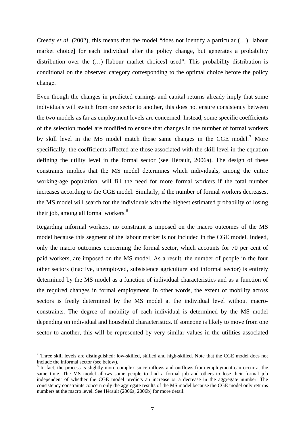Creedy *et al.* (2002), this means that the model "does not identify a particular (…) [labour market choice] for each individual after the policy change, but generates a probability distribution over the (…) [labour market choices] used". This probability distribution is conditional on the observed category corresponding to the optimal choice before the policy change.

Even though the changes in predicted earnings and capital returns already imply that some individuals will switch from one sector to another, this does not ensure consistency between the two models as far as employment levels are concerned. Instead, some specific coefficients of the selection model are modified to ensure that changes in the number of formal workers by skill level in the MS model match those same changes in the CGE model.<sup>[7](#page-9-0)</sup> More specifically, the coefficients affected are those associated with the skill level in the equation defining the utility level in the formal sector (see Hérault, 2006a). The design of these constraints implies that the MS model determines which individuals, among the entire working-age population, will fill the need for more formal workers if the total number increases according to the CGE model. Similarly, if the number of formal workers decreases, the MS model will search for the individuals with the highest estimated probability of losing their job, among all formal workers.<sup>[8](#page-9-1)</sup>

Regarding informal workers, no constraint is imposed on the macro outcomes of the MS model because this segment of the labour market is not included in the CGE model. Indeed, only the macro outcomes concerning the formal sector, which accounts for 70 per cent of paid workers, are imposed on the MS model. As a result, the number of people in the four other sectors (inactive, unemployed, subsistence agriculture and informal sector) is entirely determined by the MS model as a function of individual characteristics and as a function of the required changes in formal employment. In other words, the extent of mobility across sectors is freely determined by the MS model at the individual level without macroconstraints. The degree of mobility of each individual is determined by the MS model depending on individual and household characteristics. If someone is likely to move from one sector to another, this will be represented by very similar values in the utilities associated

<u>.</u>

<span id="page-9-0"></span> $<sup>7</sup>$  Three skill levels are distinguished: low-skilled, skilled and high-skilled. Note that the CGE model does not</sup> include the informal sector (see below).

<span id="page-9-1"></span><sup>&</sup>lt;sup>8</sup> In fact, the process is slightly more complex since inflows and outflows from employment can occur at the same time. The MS model allows some people to find a formal job and others to lose their formal job independent of whether the CGE model predicts an increase or a decrease in the aggregate number. The consistency constraints concern only the aggregate results of the MS model because the CGE model only returns numbers at the macro level. See Hérault (2006a, 2006b) for more detail.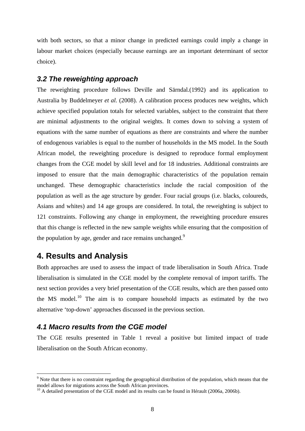with both sectors, so that a minor change in predicted earnings could imply a change in labour market choices (especially because earnings are an important determinant of sector choice).

#### *3.2 The reweighting approach*

The reweighting procedure follows Deville and Särndal*.*(1992) and its application to Australia by Buddelmeyer *et al.* (2008). A calibration process produces new weights, which achieve specified population totals for selected variables, subject to the constraint that there are minimal adjustments to the original weights. It comes down to solving a system of equations with the same number of equations as there are constraints and where the number of endogenous variables is equal to the number of households in the MS model. In the South African model, the reweighting procedure is designed to reproduce formal employment changes from the CGE model by skill level and for 18 industries. Additional constraints are imposed to ensure that the main demographic characteristics of the population remain unchanged. These demographic characteristics include the racial composition of the population as well as the age structure by gender. Four racial groups (i.e. blacks, coloureds, Asians and whites) and 14 age groups are considered. In total, the reweighting is subject to 121 constraints. Following any change in employment, the reweighting procedure ensures that this change is reflected in the new sample weights while ensuring that the composition of the population by age, gender and race remains unchanged.<sup>[9](#page-10-0)</sup>

# **4. Results and Analysis**

1

Both approaches are used to assess the impact of trade liberalisation in South Africa. Trade liberalisation is simulated in the CGE model by the complete removal of import tariffs. The next section provides a very brief presentation of the CGE results, which are then passed onto the MS model.<sup>[10](#page-10-1)</sup> The aim is to compare household impacts as estimated by the two alternative 'top-down' approaches discussed in the previous section.

### *4.1 Macro results from the CGE model*

The CGE results presented in Table 1 reveal a positive but limited impact of trade liberalisation on the South African economy.

<span id="page-10-0"></span><sup>&</sup>lt;sup>9</sup> Note that there is no constraint regarding the geographical distribution of the population, which means that the model allows for migrations across the South African provinces.

<span id="page-10-1"></span> $^{10}$  A detailed presentation of the CGE model and its results can be found in Hérault (2006a, 2006b).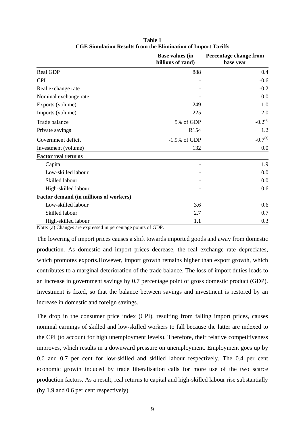|                                        | <b>Base values (in</b><br>billions of rand) | Percentage change from<br>base year<br>0.4 |  |  |
|----------------------------------------|---------------------------------------------|--------------------------------------------|--|--|
| Real GDP                               | 888                                         |                                            |  |  |
| <b>CPI</b>                             |                                             | $-0.6$                                     |  |  |
| Real exchange rate                     |                                             | $-0.2$                                     |  |  |
| Nominal exchange rate                  |                                             | 0.0                                        |  |  |
| Exports (volume)                       | 249                                         | 1.0                                        |  |  |
| Imports (volume)                       | 225                                         | 2.0                                        |  |  |
| Trade balance                          | 5% of GDP                                   | $-0.2^{(a)}$                               |  |  |
| Private savings                        | R <sub>154</sub>                            | 1.2                                        |  |  |
| Government deficit                     | $-1.9\%$ of GDP                             | $-0.7^{(a)}$                               |  |  |
| Investment (volume)                    | 132                                         | 0.0                                        |  |  |
| <b>Factor real returns</b>             |                                             |                                            |  |  |
| Capital                                |                                             | 1.9                                        |  |  |
| Low-skilled labour                     |                                             | 0.0                                        |  |  |
| Skilled labour                         |                                             | 0.0                                        |  |  |
| High-skilled labour                    |                                             | 0.6                                        |  |  |
| Factor demand (in millions of workers) |                                             |                                            |  |  |
| Low-skilled labour                     | 3.6                                         | 0.6                                        |  |  |
| Skilled labour                         | 2.7                                         | 0.7                                        |  |  |
| High-skilled labour                    | 1.1                                         | 0.3                                        |  |  |

**Table 1 CGE Simulation Results from the Elimination of Import Tariffs** 

Note: (a) Changes are expressed in percentage points of GDP.

The lowering of import prices causes a shift towards imported goods and away from domestic production. As domestic and import prices decrease, the real exchange rate depreciates, which promotes exports.However, import growth remains higher than export growth, which contributes to a marginal deterioration of the trade balance. The loss of import duties leads to an increase in government savings by 0.7 percentage point of gross domestic product (GDP). Investment is fixed, so that the balance between savings and investment is restored by an increase in domestic and foreign savings.

The drop in the consumer price index (CPI), resulting from falling import prices, causes nominal earnings of skilled and low-skilled workers to fall because the latter are indexed to the CPI (to account for high unemployment levels). Therefore, their relative competitiveness improves, which results in a downward pressure on unemployment. Employment goes up by 0.6 and 0.7 per cent for low-skilled and skilled labour respectively. The 0.4 per cent economic growth induced by trade liberalisation calls for more use of the two scarce production factors. As a result, real returns to capital and high-skilled labour rise substantially (by 1.9 and 0.6 per cent respectively).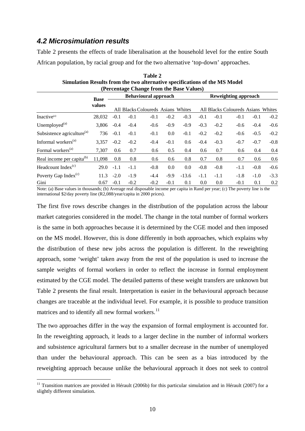## *4.2 Microsimulation results*

1

Table 2 presents the effects of trade liberalisation at the household level for the entire South African population, by racial group and for the two alternative 'top-down' approaches.

| Simulation Results from the two alternative specifications of the MS Model<br>(Percentage Change from the Base Values) |                       |                             |        |                                    |        |                             |        |        |                                    |        |        |
|------------------------------------------------------------------------------------------------------------------------|-----------------------|-----------------------------|--------|------------------------------------|--------|-----------------------------|--------|--------|------------------------------------|--------|--------|
|                                                                                                                        | <b>Base</b><br>values | <b>Behavioural approach</b> |        |                                    |        | <b>Reweighting approach</b> |        |        |                                    |        |        |
|                                                                                                                        |                       |                             |        | All Blacks Coloureds Asians Whites |        |                             |        |        | All Blacks Coloureds Asians Whites |        |        |
| Inactive <sup>(a)</sup>                                                                                                | 28,032                | $-0.1$                      | $-0.1$ | $-0.1$                             | $-0.2$ | $-0.3$                      | $-0.1$ | $-0.1$ | $-0.1$                             | $-0.1$ | $-0.2$ |
| Unemployed $^{(a)}$                                                                                                    | 3,806                 | $-0.4$                      | $-0.4$ | $-0.6$                             | $-0.9$ | $-0.9$                      | $-0.3$ | $-0.2$ | $-0.6$                             | $-0.4$ | $-0.6$ |
| Subsistence agriculture <sup>(a)</sup>                                                                                 | 736                   | $-0.1$                      | $-0.1$ | $-0.1$                             | 0.0    | $-0.1$                      | $-0.2$ | $-0.2$ | $-0.6$                             | $-0.5$ | $-0.2$ |
| Informal workers <sup>(a)</sup>                                                                                        | 3.357                 | $-0.2$                      | $-0.2$ | $-0.4$                             | $-0.1$ | 0.6                         | $-0.4$ | $-0.3$ | $-0.7$                             | $-0.7$ | $-0.8$ |
| Formal workers <sup>(a)</sup>                                                                                          | 7.307                 | 0.6                         | 0.7    | 0.6                                | 0.5    | 0.4                         | 0.6    | 0.7    | 0.6                                | 0.4    | 0.4    |
| Real income per capita <sup>(b)</sup>                                                                                  | 11,098                | 0.8                         | 0.8    | 0.6                                | 0.6    | 0.8                         | 0.7    | 0.8    | 0.7                                | 0.6    | 0.6    |
| Headcount Index $(c)$                                                                                                  | 29.0                  | $-1.1$                      | $-1.1$ | $-0.8$                             | 0.0    | 0.0                         | $-0.8$ | $-0.8$ | $-1.1$                             | $-0.8$ | $-0.6$ |
| Poverty Gap Index <sup>(c)</sup>                                                                                       | 11.3                  | $-2.0$                      | $-1.9$ | $-4.4$                             | $-9.9$ | $-13.6$                     | $-1.1$ | $-1.1$ | $-1.8$                             | $-1.0$ | $-3.3$ |
| Gini                                                                                                                   | 0.67                  | $-0.1$                      | $-0.2$ | $-0.2$                             | $-0.1$ | 0.1                         | 0.0    | 0.0    | $-0.1$                             | 0.1    | 0.2    |

| Table 2                                                                    |
|----------------------------------------------------------------------------|
| Simulation Results from the two alternative specifications of the MS Model |
| (Percentage Change from the Base Values)                                   |

Note: (a) Base values in thousands; (b) Average real disposable income per capita in Rand per year; (c) The poverty line is the international \$2/day poverty line (R2,088/year/capita in 2000 prices).

The first five rows describe changes in the distribution of the population across the labour market categories considered in the model. The change in the total number of formal workers is the same in both approaches because it is determined by the CGE model and then imposed on the MS model. However, this is done differently in both approaches, which explains why the distribution of these new jobs across the population is different. In the reweighting approach, some 'weight' taken away from the rest of the population is used to increase the sample weights of formal workers in order to reflect the increase in formal employment estimated by the CGE model. The detailed patterns of these weight transfers are unknown but Table 2 presents the final result. Interpretation is easier in the behavioural approach because changes are traceable at the individual level. For example, it is possible to produce transition matrices and to identify all new formal workers. $^{11}$  $^{11}$  $^{11}$ 

The two approaches differ in the way the expansion of formal employment is accounted for. In the reweighting approach, it leads to a larger decline in the number of informal workers and subsistence agricultural farmers but to a smaller decrease in the number of unemployed than under the behavioural approach. This can be seen as a bias introduced by the reweighting approach because unlike the behavioural approach it does not seek to control

<span id="page-12-0"></span> $11$  Transition matrices are provided in Hérault (2006b) for this particular simulation and in Hérault (2007) for a slightly different simulation.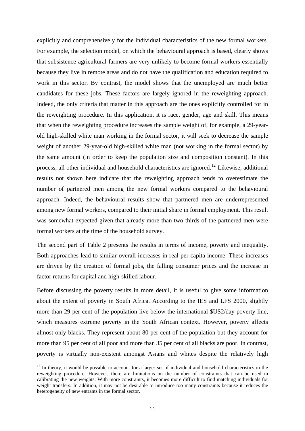explicitly and comprehensively for the individual characteristics of the new formal workers. For example, the selection model, on which the behavioural approach is based, clearly shows that subsistence agricultural farmers are very unlikely to become formal workers essentially because they live in remote areas and do not have the qualification and education required to work in this sector. By contrast, the model shows that the unemployed are much better candidates for these jobs. These factors are largely ignored in the reweighting approach. Indeed, the only criteria that matter in this approach are the ones explicitly controlled for in the reweighting procedure. In this application, it is race, gender, age and skill. This means that when the reweighting procedure increases the sample weight of, for example, a 29-yearold high-skilled white man working in the formal sector, it will seek to decrease the sample weight of another 29-year-old high-skilled white man (not working in the formal sector) by the same amount (in order to keep the population size and composition constant). In this process, all other individual and household characteristics are ignored.<sup>[12](#page-13-0)</sup> Likewise, additional results not shown here indicate that the reweighting approach tends to overestimate the number of partnered men among the new formal workers compared to the behavioural approach. Indeed, the behavioural results show that partnered men are underrepresented among new formal workers, compared to their initial share in formal employment. This result was somewhat expected given that already more than two thirds of the partnered men were formal workers at the time of the household survey.

The second part of Table 2 presents the results in terms of income, poverty and inequality. Both approaches lead to similar overall increases in real per capita income. These increases are driven by the creation of formal jobs, the falling consumer prices and the increase in factor returns for capital and high-skilled labour.

Before discussing the poverty results in more detail, it is useful to give some information about the extent of poverty in South Africa. According to the IES and LFS 2000, slightly more than 29 per cent of the population live below the international \$US2/day poverty line, which measures extreme poverty in the South African context. However, poverty affects almost only blacks. They represent about 80 per cent of the population but they account for more than 95 per cent of all poor and more than 35 per cent of all blacks are poor. In contrast, poverty is virtually non-existent amongst Asians and whites despite the relatively high

1

<span id="page-13-0"></span> $12$  In theory, it would be possible to account for a larger set of individual and household characteristics in the reweighting procedure. However, there are limitations on the number of constraints that can be used in calibrating the new weights. With more constraints, it becomes more difficult to find matching individuals for weight transfers. In addition, it may not be desirable to introduce too many constraints because it reduces the heterogeneity of new entrants in the formal sector.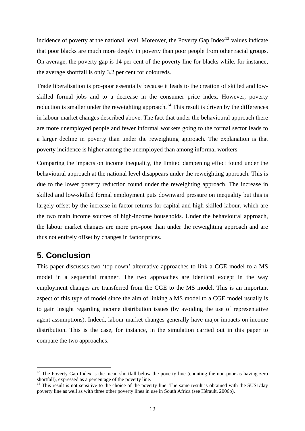incidence of poverty at the national level. Moreover, the Poverty Gap Index<sup>[13](#page-14-0)</sup> values indicate that poor blacks are much more deeply in poverty than poor people from other racial groups. On average, the poverty gap is 14 per cent of the poverty line for blacks while, for instance, the average shortfall is only 3.2 per cent for coloureds.

Trade liberalisation is pro-poor essentially because it leads to the creation of skilled and lowskilled formal jobs and to a decrease in the consumer price index. However, poverty reduction is smaller under the reweighting approach.<sup>[14](#page-14-1)</sup> This result is driven by the differences in labour market changes described above. The fact that under the behavioural approach there are more unemployed people and fewer informal workers going to the formal sector leads to a larger decline in poverty than under the reweighting approach. The explanation is that poverty incidence is higher among the unemployed than among informal workers.

Comparing the impacts on income inequality, the limited dampening effect found under the behavioural approach at the national level disappears under the reweighting approach. This is due to the lower poverty reduction found under the reweighting approach. The increase in skilled and low-skilled formal employment puts downward pressure on inequality but this is largely offset by the increase in factor returns for capital and high-skilled labour, which are the two main income sources of high-income households. Under the behavioural approach, the labour market changes are more pro-poor than under the reweighting approach and are thus not entirely offset by changes in factor prices.

# **5. Conclusion**

<u>.</u>

This paper discusses two 'top-down' alternative approaches to link a CGE model to a MS model in a sequential manner. The two approaches are identical except in the way employment changes are transferred from the CGE to the MS model. This is an important aspect of this type of model since the aim of linking a MS model to a CGE model usually is to gain insight regarding income distribution issues (by avoiding the use of representative agent assumptions). Indeed, labour market changes generally have major impacts on income distribution. This is the case, for instance, in the simulation carried out in this paper to compare the two approaches.

<span id="page-14-0"></span><sup>&</sup>lt;sup>13</sup> The Poverty Gap Index is the mean shortfall below the poverty line (counting the non-poor as having zero shortfall), expressed as a percentage of the poverty line.<br><sup>14</sup> This result is not sensitive to the choice of the poverty line. The same result is obtained with the \$US1/day

<span id="page-14-1"></span>poverty line as well as with three other poverty lines in use in South Africa (see Hérault, 2006b).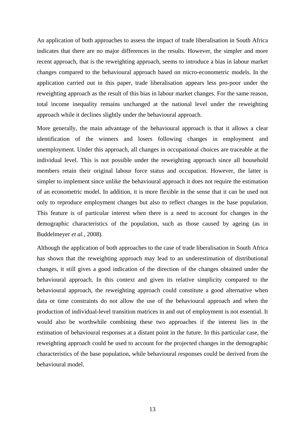An application of both approaches to assess the impact of trade liberalisation in South Africa indicates that there are no major differences in the results. However, the simpler and more recent approach, that is the reweighting approach, seems to introduce a bias in labour market changes compared to the behavioural approach based on micro-econometric models. In the application carried out in this paper, trade liberalisation appears less pro-poor under the reweighting approach as the result of this bias in labour market changes. For the same reason, total income inequality remains unchanged at the national level under the reweighting approach while it declines slightly under the behavioural approach.

More generally, the main advantage of the behavioural approach is that it allows a clear identification of the winners and losers following changes in employment and unemployment. Under this approach, all changes in occupational choices are traceable at the individual level. This is not possible under the reweighting approach since all household members retain their original labour force status and occupation. However, the latter is simpler to implement since unlike the behavioural approach it does not require the estimation of an econometric model. In addition, it is more flexible in the sense that it can be used not only to reproduce employment changes but also to reflect changes in the base population. This feature is of particular interest when there is a need to account for changes in the demographic characteristics of the population, such as those caused by ageing (as in Buddelmeyer *et al.*, 2008).

Although the application of both approaches to the case of trade liberalisation in South Africa has shown that the reweighting approach may lead to an underestimation of distributional changes, it still gives a good indication of the direction of the changes obtained under the behavioural approach. In this context and given its relative simplicity compared to the behavioural approach, the reweighting approach could constitute a good alternative when data or time constraints do not allow the use of the behavioural approach and when the production of individual-level transition matrices in and out of employment is not essential. It would also be worthwhile combining these two approaches if the interest lies in the estimation of behavioural responses at a distant point in the future. In this particular case, the reweighting approach could be used to account for the projected changes in the demographic characteristics of the base population, while behavioural responses could be derived from the behavioural model.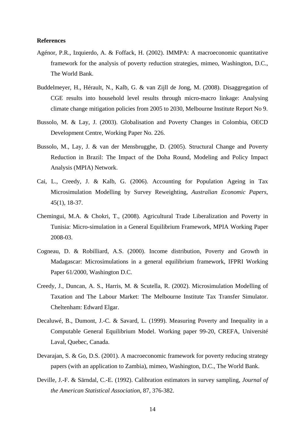#### **References**

- Agénor, P.R., Izquierdo, A. & Foffack, H. (2002). IMMPA: A macroeconomic quantitative framework for the analysis of poverty reduction strategies, mimeo, Washington, D.C., The World Bank.
- Buddelmeyer, H., Hérault, N., Kalb, G. & van Zijll de Jong, M. (2008). Disaggregation of CGE results into household level results through micro-macro linkage: Analysing climate change mitigation policies from 2005 to 2030, Melbourne Institute Report No 9.
- Bussolo, M. & Lay, J. (2003). Globalisation and Poverty Changes in Colombia, OECD Development Centre, Working Paper No. 226.
- Bussolo, M., Lay, J. & van der Mensbrugghe, D. (2005). Structural Change and Poverty Reduction in Brazil: The Impact of the Doha Round, Modeling and Policy Impact Analysis (MPIA) Network.
- Cai, L., Creedy, J. & Kalb, G. (2006). Accounting for Population Ageing in Tax Microsimulation Modelling by Survey Reweighting, *Australian Economic Papers*, 45(1), 18-37.
- Chemingui, M.A. & Chokri, T., (2008). Agricultural Trade Liberalization and Poverty in Tunisia: Micro-simulation in a General Equilibrium Framework, MPIA Working Paper 2008-03.
- Cogneau, D. & Robilliard, A.S. (2000). Income distribution, Poverty and Growth in Madagascar: Microsimulations in a general equilibrium framework, IFPRI Working Paper 61/2000, Washington D.C.
- Creedy, J., Duncan, A. S., Harris, M. & Scutella, R. (2002). Microsimulation Modelling of Taxation and The Labour Market: The Melbourne Institute Tax Transfer Simulator. Cheltenham: Edward Elgar.
- Decaluwé, B., Dumont, J.-C. & Savard, L. (1999). Measuring Poverty and Inequality in a Computable General Equilibrium Model. Working paper 99-20, CREFA, Université Laval, Quebec, Canada.
- Devarajan, S. & Go, D.S. (2001). A macroeconomic framework for poverty reducing strategy papers (with an application to Zambia), mimeo, Washington, D.C., The World Bank.
- Deville, J.-F. & Särndal, C.-E. (1992). Calibration estimators in survey sampling, *Journal of the American Statistical Association*, 87, 376-382.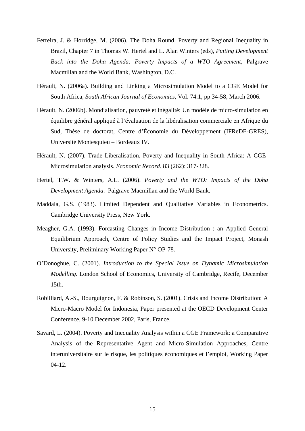- Ferreira, J. & Horridge, M. (2006). The Doha Round, Poverty and Regional Inequality in Brazil, Chapter 7 in Thomas W. Hertel and L. Alan Winters (eds), *Putting Development Back into the Doha Agenda: Poverty Impacts of a WTO Agreement*, Palgrave Macmillan and the World Bank, Washington, D.C.
- Hérault, N. (2006a). Building and Linking a Microsimulation Model to a CGE Model for South Africa, *South African Journal of Economics*, Vol. 74:1, pp 34-58, March 2006.
- Hérault, N. (2006b). Mondialisation, pauvreté et inégalité: Un modèle de micro-simulation en équilibre général appliqué à l'évaluation de la libéralisation commerciale en Afrique du Sud, Thèse de doctorat, Centre d'Économie du Développement (IFReDE-GRES), Université Montesquieu – Bordeaux IV.
- Hérault, N. (2007). Trade Liberalisation, Poverty and Inequality in South Africa: A CGE-Microsimulation analysis. *Economic Record*. 83 (262): 317-328.
- Hertel, T.W. & Winters, A.L. (2006). *Poverty and the WTO: Impacts of the Doha Development Agenda*. Palgrave Macmillan and the World Bank.
- Maddala, G.S. (1983). Limited Dependent and Qualitative Variables in Econometrics. Cambridge University Press, New York.
- Meagher, G.A. (1993). Forcasting Changes in Income Distribution : an Applied General Equilibrium Approach, Centre of Policy Studies and the Impact Project, Monash University, Preliminary Working Paper N° OP-78.
- O'Donoghue, C. (2001). *Introduction to the Special Issue on Dynamic Microsimulation Modelling*. London School of Economics, University of Cambridge, Recife, December 15th.
- Robilliard, A.-S., Bourguignon, F. & Robinson, S. (2001). Crisis and Income Distribution: A Micro-Macro Model for Indonesia, Paper presented at the OECD Development Center Conference, 9-10 December 2002, Paris, France.
- Savard, L. (2004). Poverty and Inequality Analysis within a CGE Framework: a Comparative Analysis of the Representative Agent and Micro-Simulation Approaches, Centre interuniversitaire sur le risque, les politiques économiques et l'emploi, Working Paper 04-12.